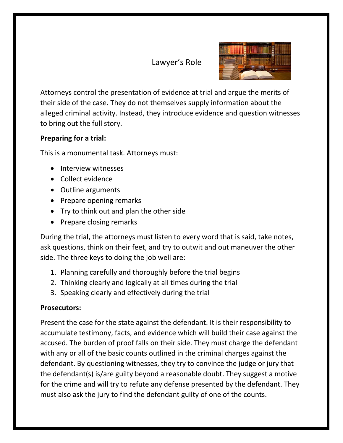# Lawyer's Role



Attorneys control the presentation of evidence at trial and argue the merits of their side of the case. They do not themselves supply information about the alleged criminal activity. Instead, they introduce evidence and question witnesses to bring out the full story.

# **Preparing for a trial:**

This is a monumental task. Attorneys must:

- Interview witnesses
- Collect evidence
- Outline arguments
- Prepare opening remarks
- Try to think out and plan the other side
- Prepare closing remarks

During the trial, the attorneys must listen to every word that is said, take notes, ask questions, think on their feet, and try to outwit and out maneuver the other side. The three keys to doing the job well are:

- 1. Planning carefully and thoroughly before the trial begins
- 2. Thinking clearly and logically at all times during the trial
- 3. Speaking clearly and effectively during the trial

#### **Prosecutors:**

Present the case for the state against the defendant. It is their responsibility to accumulate testimony, facts, and evidence which will build their case against the accused. The burden of proof falls on their side. They must charge the defendant with any or all of the basic counts outlined in the criminal charges against the defendant. By questioning witnesses, they try to convince the judge or jury that the defendant(s) is/are guilty beyond a reasonable doubt. They suggest a motive for the crime and will try to refute any defense presented by the defendant. They must also ask the jury to find the defendant guilty of one of the counts.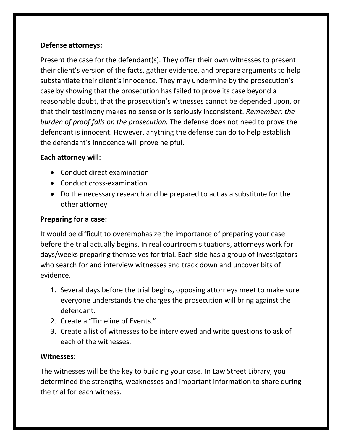#### **Defense attorneys:**

Present the case for the defendant(s). They offer their own witnesses to present their client's version of the facts, gather evidence, and prepare arguments to help substantiate their client's innocence. They may undermine by the prosecution's case by showing that the prosecution has failed to prove its case beyond a reasonable doubt, that the prosecution's witnesses cannot be depended upon, or that their testimony makes no sense or is seriously inconsistent. *Remember: the burden of proof falls on the prosecution.* The defense does not need to prove the defendant is innocent. However, anything the defense can do to help establish the defendant's innocence will prove helpful.

#### **Each attorney will:**

- Conduct direct examination
- Conduct cross-examination
- Do the necessary research and be prepared to act as a substitute for the other attorney

# **Preparing for a case:**

It would be difficult to overemphasize the importance of preparing your case before the trial actually begins. In real courtroom situations, attorneys work for days/weeks preparing themselves for trial. Each side has a group of investigators who search for and interview witnesses and track down and uncover bits of evidence.

- 1. Several days before the trial begins, opposing attorneys meet to make sure everyone understands the charges the prosecution will bring against the defendant.
- 2. Create a "Timeline of Events."
- 3. Create a list of witnesses to be interviewed and write questions to ask of each of the witnesses.

# **Witnesses:**

The witnesses will be the key to building your case. In Law Street Library, you determined the strengths, weaknesses and important information to share during the trial for each witness.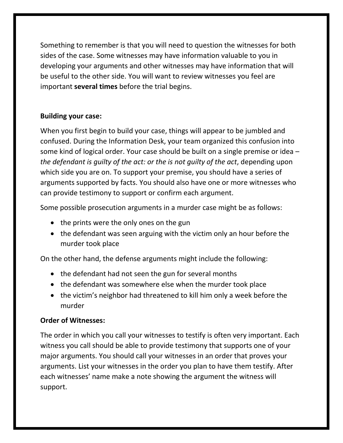Something to remember is that you will need to question the witnesses for both sides of the case. Some witnesses may have information valuable to you in developing your arguments and other witnesses may have information that will be useful to the other side. You will want to review witnesses you feel are important **several times** before the trial begins.

#### **Building your case:**

When you first begin to build your case, things will appear to be jumbled and confused. During the Information Desk, your team organized this confusion into some kind of logical order. Your case should be built on a single premise or idea – *the defendant is guilty of the act: or the is not guilty of the act*, depending upon which side you are on. To support your premise, you should have a series of arguments supported by facts. You should also have one or more witnesses who can provide testimony to support or confirm each argument.

Some possible prosecution arguments in a murder case might be as follows:

- the prints were the only ones on the gun
- the defendant was seen arguing with the victim only an hour before the murder took place

On the other hand, the defense arguments might include the following:

- the defendant had not seen the gun for several months
- the defendant was somewhere else when the murder took place
- the victim's neighbor had threatened to kill him only a week before the murder

# **Order of Witnesses:**

The order in which you call your witnesses to testify is often very important. Each witness you call should be able to provide testimony that supports one of your major arguments. You should call your witnesses in an order that proves your arguments. List your witnesses in the order you plan to have them testify. After each witnesses' name make a note showing the argument the witness will support.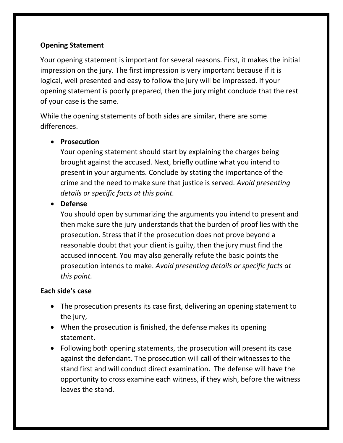# **Opening Statement**

Your opening statement is important for several reasons. First, it makes the initial impression on the jury. The first impression is very important because if it is logical, well presented and easy to follow the jury will be impressed. If your opening statement is poorly prepared, then the jury might conclude that the rest of your case is the same.

While the opening statements of both sides are similar, there are some differences.

#### **•** Prosecution

Your opening statement should start by explaining the charges being brought against the accused. Next, briefly outline what you intend to present in your arguments. Conclude by stating the importance of the crime and the need to make sure that justice is served. *Avoid presenting details or specific facts at this point.*

**Defense**

You should open by summarizing the arguments you intend to present and then make sure the jury understands that the burden of proof lies with the prosecution. Stress that if the prosecution does not prove beyond a reasonable doubt that your client is guilty, then the jury must find the accused innocent. You may also generally refute the basic points the prosecution intends to make. *Avoid presenting details or specific facts at this point.*

# **Each side's case**

- The prosecution presents its case first, delivering an opening statement to the jury,
- When the prosecution is finished, the defense makes its opening statement.
- Following both opening statements, the prosecution will present its case against the defendant. The prosecution will call of their witnesses to the stand first and will conduct direct examination. The defense will have the opportunity to cross examine each witness, if they wish, before the witness leaves the stand.